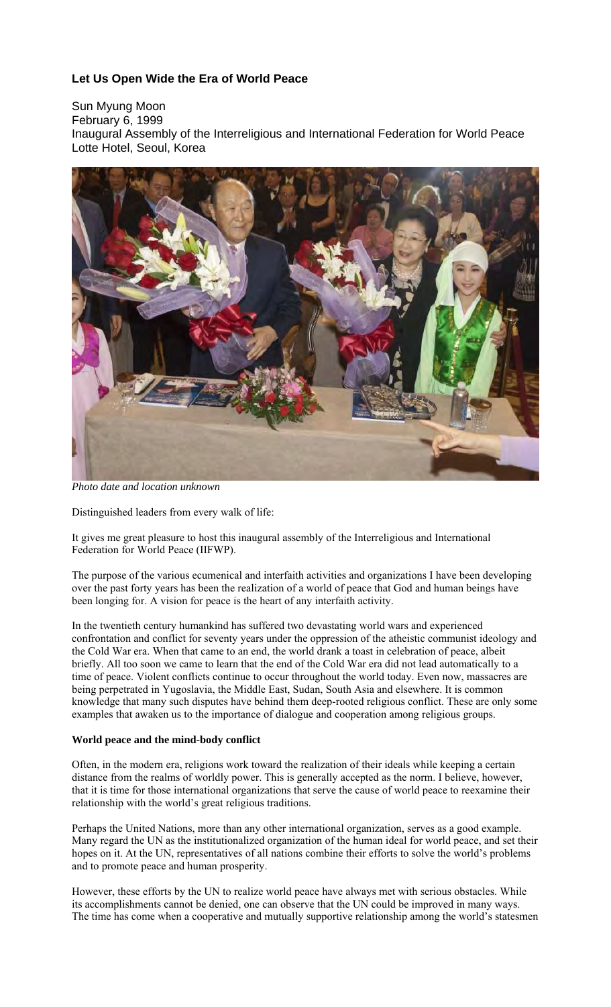## **Let Us Open Wide the Era of World Peace**

Sun Myung Moon February 6, 1999 Inaugural Assembly of the Interreligious and International Federation for World Peace Lotte Hotel, Seoul, Korea



*Photo date and location unknown*

Distinguished leaders from every walk of life:

It gives me great pleasure to host this inaugural assembly of the Interreligious and International Federation for World Peace (IIFWP).

The purpose of the various ecumenical and interfaith activities and organizations I have been developing over the past forty years has been the realization of a world of peace that God and human beings have been longing for. A vision for peace is the heart of any interfaith activity.

In the twentieth century humankind has suffered two devastating world wars and experienced confrontation and conflict for seventy years under the oppression of the atheistic communist ideology and the Cold War era. When that came to an end, the world drank a toast in celebration of peace, albeit briefly. All too soon we came to learn that the end of the Cold War era did not lead automatically to a time of peace. Violent conflicts continue to occur throughout the world today. Even now, massacres are being perpetrated in Yugoslavia, the Middle East, Sudan, South Asia and elsewhere. It is common knowledge that many such disputes have behind them deep-rooted religious conflict. These are only some examples that awaken us to the importance of dialogue and cooperation among religious groups.

## **World peace and the mind-body conflict**

Often, in the modern era, religions work toward the realization of their ideals while keeping a certain distance from the realms of worldly power. This is generally accepted as the norm. I believe, however, that it is time for those international organizations that serve the cause of world peace to reexamine their relationship with the world's great religious traditions.

Perhaps the United Nations, more than any other international organization, serves as a good example. Many regard the UN as the institutionalized organization of the human ideal for world peace, and set their hopes on it. At the UN, representatives of all nations combine their efforts to solve the world's problems and to promote peace and human prosperity.

However, these efforts by the UN to realize world peace have always met with serious obstacles. While its accomplishments cannot be denied, one can observe that the UN could be improved in many ways. The time has come when a cooperative and mutually supportive relationship among the world's statesmen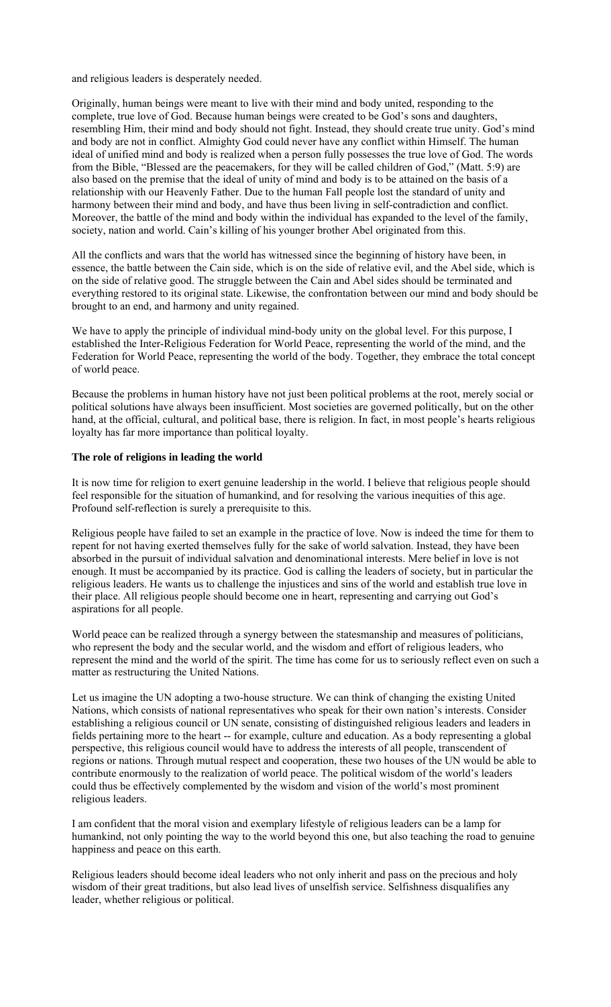and religious leaders is desperately needed.

Originally, human beings were meant to live with their mind and body united, responding to the complete, true love of God. Because human beings were created to be God's sons and daughters, resembling Him, their mind and body should not fight. Instead, they should create true unity. God's mind and body are not in conflict. Almighty God could never have any conflict within Himself. The human ideal of unified mind and body is realized when a person fully possesses the true love of God. The words from the Bible, "Blessed are the peacemakers, for they will be called children of God," (Matt. 5:9) are also based on the premise that the ideal of unity of mind and body is to be attained on the basis of a relationship with our Heavenly Father. Due to the human Fall people lost the standard of unity and harmony between their mind and body, and have thus been living in self-contradiction and conflict. Moreover, the battle of the mind and body within the individual has expanded to the level of the family, society, nation and world. Cain's killing of his younger brother Abel originated from this.

All the conflicts and wars that the world has witnessed since the beginning of history have been, in essence, the battle between the Cain side, which is on the side of relative evil, and the Abel side, which is on the side of relative good. The struggle between the Cain and Abel sides should be terminated and everything restored to its original state. Likewise, the confrontation between our mind and body should be brought to an end, and harmony and unity regained.

We have to apply the principle of individual mind-body unity on the global level. For this purpose, I established the Inter-Religious Federation for World Peace, representing the world of the mind, and the Federation for World Peace, representing the world of the body. Together, they embrace the total concept of world peace.

Because the problems in human history have not just been political problems at the root, merely social or political solutions have always been insufficient. Most societies are governed politically, but on the other hand, at the official, cultural, and political base, there is religion. In fact, in most people's hearts religious loyalty has far more importance than political loyalty.

## **The role of religions in leading the world**

It is now time for religion to exert genuine leadership in the world. I believe that religious people should feel responsible for the situation of humankind, and for resolving the various inequities of this age. Profound self-reflection is surely a prerequisite to this.

Religious people have failed to set an example in the practice of love. Now is indeed the time for them to repent for not having exerted themselves fully for the sake of world salvation. Instead, they have been absorbed in the pursuit of individual salvation and denominational interests. Mere belief in love is not enough. It must be accompanied by its practice. God is calling the leaders of society, but in particular the religious leaders. He wants us to challenge the injustices and sins of the world and establish true love in their place. All religious people should become one in heart, representing and carrying out God's aspirations for all people.

World peace can be realized through a synergy between the statesmanship and measures of politicians, who represent the body and the secular world, and the wisdom and effort of religious leaders, who represent the mind and the world of the spirit. The time has come for us to seriously reflect even on such a matter as restructuring the United Nations.

Let us imagine the UN adopting a two-house structure. We can think of changing the existing United Nations, which consists of national representatives who speak for their own nation's interests. Consider establishing a religious council or UN senate, consisting of distinguished religious leaders and leaders in fields pertaining more to the heart -- for example, culture and education. As a body representing a global perspective, this religious council would have to address the interests of all people, transcendent of regions or nations. Through mutual respect and cooperation, these two houses of the UN would be able to contribute enormously to the realization of world peace. The political wisdom of the world's leaders could thus be effectively complemented by the wisdom and vision of the world's most prominent religious leaders.

I am confident that the moral vision and exemplary lifestyle of religious leaders can be a lamp for humankind, not only pointing the way to the world beyond this one, but also teaching the road to genuine happiness and peace on this earth.

Religious leaders should become ideal leaders who not only inherit and pass on the precious and holy wisdom of their great traditions, but also lead lives of unselfish service. Selfishness disqualifies any leader, whether religious or political.